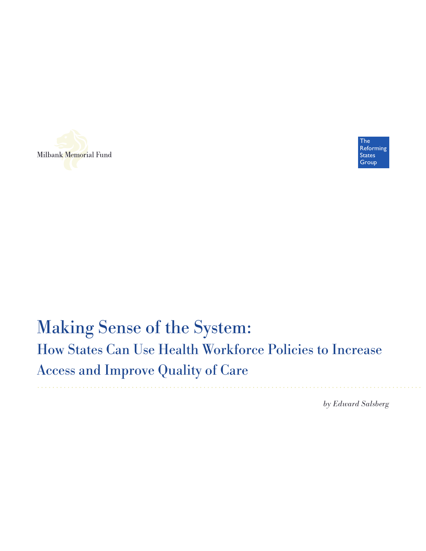



# Making Sense of the System: How States Can Use Health Workforce Policies to Increase Access and Improve Quality of Care

*by Edward Salsberg*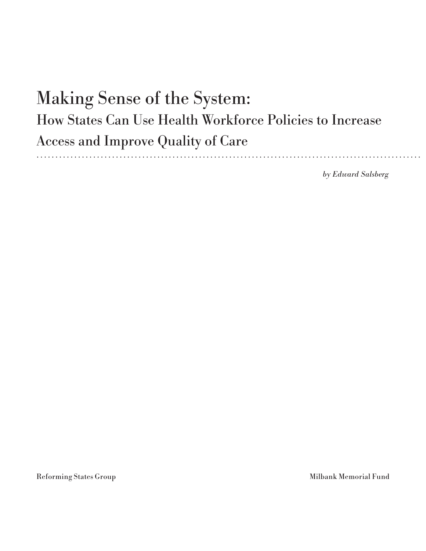# Making Sense of the System: How States Can Use Health Workforce Policies to Increase Access and Improve Quality of Care . . . . . . . . . . . . .

*by Edward Salsberg*

Reforming States Group Milbank Memorial Fund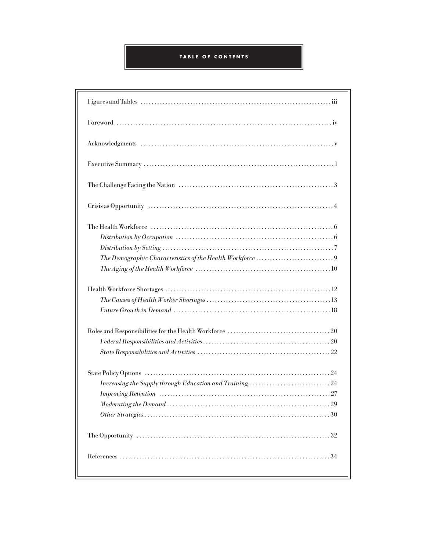## **TABLE OF CONTENTS**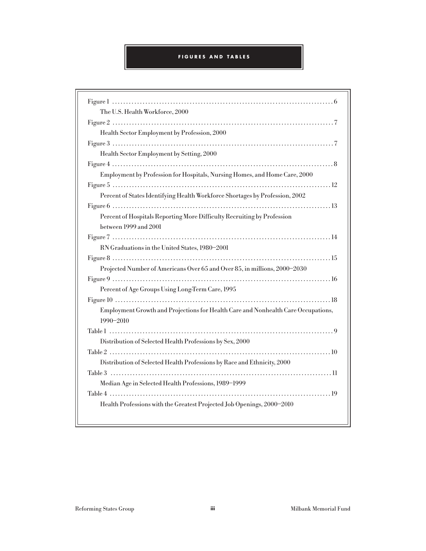### **FIGURES AND TABLES**

| The U.S. Health Workforce, 2000                                                                |
|------------------------------------------------------------------------------------------------|
|                                                                                                |
| Health Sector Employment by Profession, 2000                                                   |
|                                                                                                |
| Health Sector Employment by Setting, 2000                                                      |
|                                                                                                |
| Employment by Profession for Hospitals, Nursing Homes, and Home Care, 2000                     |
|                                                                                                |
| Percent of States Identifying Health Workforce Shortages by Profession, 2002                   |
|                                                                                                |
| Percent of Hospitals Reporting More Difficulty Recruiting by Profession                        |
| between 1999 and 2001                                                                          |
|                                                                                                |
| RN Graduations in the United States, 1980-2001                                                 |
|                                                                                                |
| Projected Number of Americans Over 65 and Over 85, in millions, 2000-2030                      |
|                                                                                                |
| Percent of Age Groups Using Long-Term Care, 1995                                               |
|                                                                                                |
| Employment Growth and Projections for Health Care and Nonhealth Care Occupations,<br>1990-2010 |
|                                                                                                |
| Distribution of Selected Health Professions by Sex, 2000                                       |
|                                                                                                |
| Distribution of Selected Health Professions by Race and Ethnicity, 2000                        |
|                                                                                                |
| Median Age in Selected Health Professions, 1989-1999                                           |
|                                                                                                |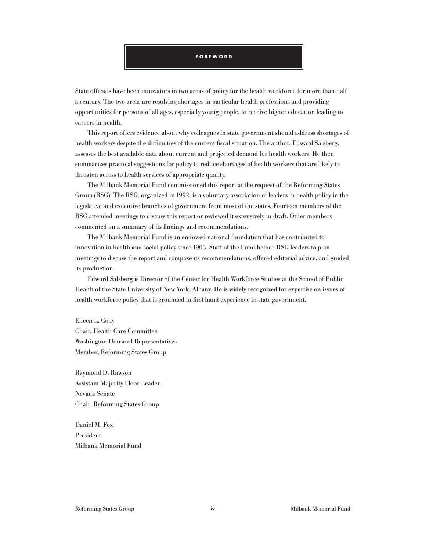#### **FOREWORD**

State officials have been innovators in two areas of policy for the health workforce for more than half a century. The two areas are resolving shortages in particular health professions and providing opportunities for persons of all ages, especially young people, to receive higher education leading to careers in health.

This report offers evidence about why colleagues in state government should address shortages of health workers despite the difficulties of the current fiscal situation. The author, Edward Salsberg, assesses the best available data about current and projected demand for health workers. He then summarizes practical suggestions for policy to reduce shortages of health workers that are likely to threaten access to health services of appropriate quality.

The Milbank Memorial Fund commissioned this report at the request of the Reforming States Group (RSG). The RSG, organized in 1992, is a voluntary association of leaders in health policy in the legislative and executive branches of government from most of the states. Fourteen members of the RSG attended meetings to discuss this report or reviewed it extensively in draft. Other members commented on a summary of its findings and recommendations.

The Milbank Memorial Fund is an endowed national foundation that has contributed to innovation in health and social policy since 1905. Staff of the Fund helped RSG leaders to plan meetings to discuss the report and compose its recommendations, offered editorial advice, and guided its production.

Edward Salsberg is Director of the Center for Health Workforce Studies at the School of Public Health of the State University of New York, Albany. He is widely recognized for expertise on issues of health workforce policy that is grounded in first-hand experience in state government.

Eileen L. Cody Chair, Health Care Committee Washington House of Representatives Member, Reforming States Group

Raymond D. Rawson Assistant Majority Floor Leader Nevada Senate Chair, Reforming States Group

Daniel M. Fox President Milbank Memorial Fund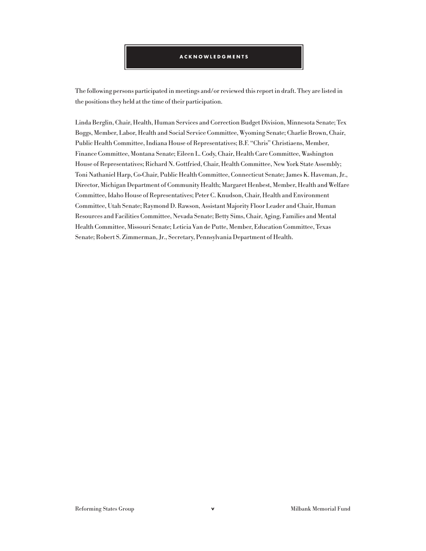#### **ACKNOWLEDGMENTS**

The following persons participated in meetings and/or reviewed this report in draft. They are listed in the positions they held at the time of their participation.

Linda Berglin, Chair, Health, Human Services and Correction Budget Division, Minnesota Senate; Tex Boggs, Member, Labor, Health and Social Service Committee, Wyoming Senate; Charlie Brown, Chair, Public Health Committee, Indiana House of Representatives; B.F. "Chris" Christiaens, Member, Finance Committee, Montana Senate; Eileen L. Cody, Chair, Health Care Committee, Washington House of Representatives; Richard N. Gottfried, Chair, Health Committee, New York State Assembly; Toni Nathaniel Harp, Co-Chair, Public Health Committee, Connecticut Senate; James K. Haveman, Jr., Director, Michigan Department of Community Health; Margaret Henbest, Member, Health and Welfare Committee, Idaho House of Representatives; Peter C. Knudson, Chair, Health and Environment Committee, Utah Senate; Raymond D. Rawson, Assistant Majority Floor Leader and Chair, Human Resources and Facilities Committee, Nevada Senate; Betty Sims, Chair, Aging, Families and Mental Health Committee, Missouri Senate; Leticia Van de Putte, Member, Education Committee, Texas Senate; Robert S. Zimmerman, Jr., Secretary, Pennsylvania Department of Health.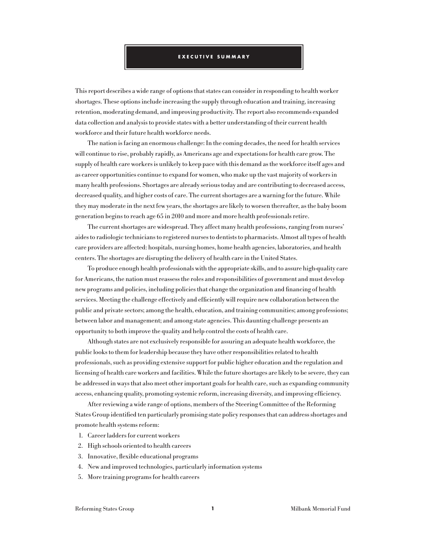#### **EXECUTIVE SUMMARY**

This report describes a wide range of options that states can consider in responding to health worker shortages. These options include increasing the supply through education and training, increasing retention, moderating demand, and improving productivity. The report also recommends expanded data collection and analysis to provide states with a better understanding of their current health workforce and their future health workforce needs.

The nation is facing an enormous challenge: In the coming decades, the need for health services will continue to rise, probably rapidly, as Americans age and expectations for health care grow. The supply of health care workers is unlikely to keep pace with this demand as the workforce itself ages and as career opportunities continue to expand for women, who make up the vast majority of workers in many health professions. Shortages are already serious today and are contributing to decreased access, decreased quality, and higher costs of care. The current shortages are a warning for the future. While they may moderate in the next few years, the shortages are likely to worsen thereafter, as the baby boom generation begins to reach age 65 in 2010 and more and more health professionals retire.

The current shortages are widespread. They affect many health professions, ranging from nurses' aides to radiologic technicians to registered nurses to dentists to pharmacists. Almost all types of health care providers are affected: hospitals, nursing homes, home health agencies, laboratories, and health centers. The shortages are disrupting the delivery of health care in the United States.

To produce enough health professionals with the appropriate skills, and to assure high-quality care for Americans, the nation must reassess the roles and responsibilities of government and must develop new programs and policies, including policies that change the organization and financing of health services. Meeting the challenge effectively and efficiently will require new collaboration between the public and private sectors; among the health, education, and training communities; among professions; between labor and management; and among state agencies. This daunting challenge presents an opportunity to both improve the quality and help control the costs of health care.

Although states are not exclusively responsible for assuring an adequate health workforce, the public looks to them for leadership because they have other responsibilities related to health professionals, such as providing extensive support for public higher education and the regulation and licensing of health care workers and facilities. While the future shortages are likely to be severe, they can be addressed in ways that also meet other important goals for health care, such as expanding community access, enhancing quality, promoting systemic reform, increasing diversity, and improving efficiency.

After reviewing a wide range of options, members of the Steering Committee of the Reforming States Group identified ten particularly promising state policy responses that can address shortages and promote health systems reform:

- 1. Career ladders for current workers
- 2. High schools oriented to health careers
- 3. Innovative, flexible educational programs
- 4. New and improved technologies, particularly information systems
- 5. More training programs for health careers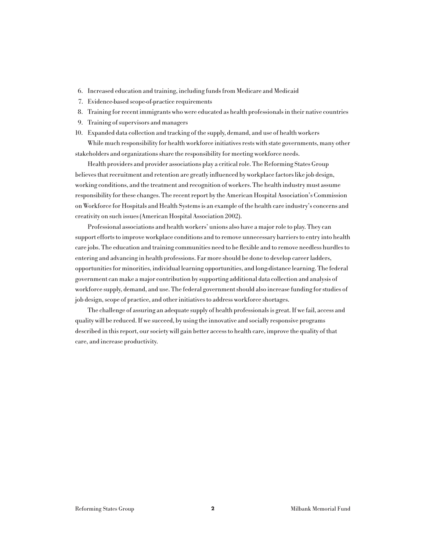- 6. Increased education and training, including funds from Medicare and Medicaid
- 7. Evidence-based scope-of-practice requirements
- 8. Training for recent immigrants who were educated as health professionals in their native countries
- 9. Training of supervisors and managers
- 10. Expanded data collection and tracking of the supply, demand, and use of health workers

While much responsibility for health workforce initiatives rests with state governments, many other stakeholders and organizations share the responsibility for meeting workforce needs.

Health providers and provider associations play a critical role. The Reforming States Group believes that recruitment and retention are greatly influenced by workplace factors like job design, working conditions, and the treatment and recognition of workers. The health industry must assume responsibility for these changes. The recent report by the American Hospital Association's Commission on Workforce for Hospitals and Health Systems is an example of the health care industry's concerns and creativity on such issues (American Hospital Association 2002).

Professional associations and health workers' unions also have a major role to play. They can support efforts to improve workplace conditions and to remove unnecessary barriers to entry into health care jobs. The education and training communities need to be flexible and to remove needless hurdles to entering and advancing in health professions. Far more should be done to develop career ladders, opportunities for minorities, individual learning opportunities, and long-distance learning. The federal government can make a major contribution by supporting additional data collection and analysis of workforce supply, demand, and use. The federal government should also increase funding for studies of job design, scope of practice, and other initiatives to address workforce shortages.

The challenge of assuring an adequate supply of health professionals is great. If we fail, access and quality will be reduced. If we succeed, by using the innovative and socially responsive programs described in this report, our society will gain better access to health care, improve the quality of that care, and increase productivity.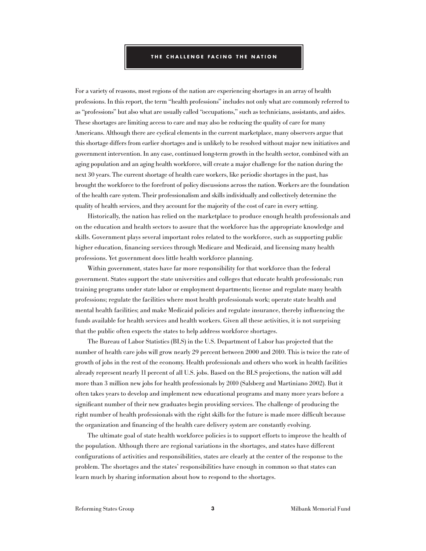#### **THE CHALLENGE FACING THE NATION**

For a variety of reasons, most regions of the nation are experiencing shortages in an array of health professions. In this report, the term "health professions" includes not only what are commonly referred to as "professions" but also what are usually called "occupations," such as technicians, assistants, and aides. These shortages are limiting access to care and may also be reducing the quality of care for many Americans. Although there are cyclical elements in the current marketplace, many observers argue that this shortage differs from earlier shortages and is unlikely to be resolved without major new initiatives and government intervention. In any case, continued long-term growth in the health sector, combined with an aging population and an aging health workforce, will create a major challenge for the nation during the next 30 years. The current shortage of health care workers, like periodic shortages in the past, has brought the workforce to the forefront of policy discussions across the nation. Workers are the foundation of the health care system. Their professionalism and skills individually and collectively determine the quality of health services, and they account for the majority of the cost of care in every setting.

Historically, the nation has relied on the marketplace to produce enough health professionals and on the education and health sectors to assure that the workforce has the appropriate knowledge and skills. Government plays several important roles related to the workforce, such as supporting public higher education, financing services through Medicare and Medicaid, and licensing many health professions. Yet government does little health workforce planning.

Within government, states have far more responsibility for that workforce than the federal government. States support the state universities and colleges that educate health professionals; run training programs under state labor or employment departments; license and regulate many health professions; regulate the facilities where most health professionals work; operate state health and mental health facilities; and make Medicaid policies and regulate insurance, thereby influencing the funds available for health services and health workers. Given all these activities, it is not surprising that the public often expects the states to help address workforce shortages.

The Bureau of Labor Statistics (BLS) in the U.S. Department of Labor has projected that the number of health care jobs will grow nearly 29 percent between 2000 and 2010. This is twice the rate of growth of jobs in the rest of the economy. Health professionals and others who work in health facilities already represent nearly 11 percent of all U.S. jobs. Based on the BLS projections, the nation will add more than 3 million new jobs for health professionals by 2010 (Salsberg and Martiniano 2002). But it often takes years to develop and implement new educational programs and many more years before a significant number of their new graduates begin providing services. The challenge of producing the right number of health professionals with the right skills for the future is made more difficult because the organization and financing of the health care delivery system are constantly evolving.

The ultimate goal of state health workforce policies is to support efforts to improve the health of the population. Although there are regional variations in the shortages, and states have different configurations of activities and responsibilities, states are clearly at the center of the response to the problem. The shortages and the states' responsibilities have enough in common so that states can learn much by sharing information about how to respond to the shortages.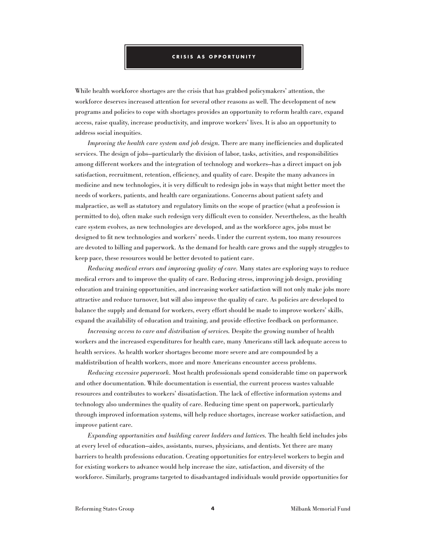#### **CRISIS AS OPPORTUNITY**

While health workforce shortages are the crisis that has grabbed policymakers' attention, the workforce deserves increased attention for several other reasons as well. The development of new programs and policies to cope with shortages provides an opportunity to reform health care, expand access, raise quality, increase productivity, and improve workers' lives. It is also an opportunity to address social inequities.

*Improving the health care system and job design.* There are many inefficiencies and duplicated services. The design of jobs—particularly the division of labor, tasks, activities, and responsibilities among different workers and the integration of technology and workers—has a direct impact on job satisfaction, recruitment, retention, efficiency, and quality of care. Despite the many advances in medicine and new technologies, it is very difficult to redesign jobs in ways that might better meet the needs of workers, patients, and health care organizations. Concerns about patient safety and malpractice, as well as statutory and regulatory limits on the scope of practice (what a profession is permitted to do), often make such redesign very difficult even to consider. Nevertheless, as the health care system evolves, as new technologies are developed, and as the workforce ages, jobs must be designed to fit new technologies and workers' needs. Under the current system, too many resources are devoted to billing and paperwork. As the demand for health care grows and the supply struggles to keep pace, these resources would be better devoted to patient care.

*Reducing medical errors and improving quality of care.* Many states are exploring ways to reduce medical errors and to improve the quality of care. Reducing stress, improving job design, providing education and training opportunities, and increasing worker satisfaction will not only make jobs more attractive and reduce turnover, but will also improve the quality of care. As policies are developed to balance the supply and demand for workers, every effort should be made to improve workers' skills, expand the availability of education and training, and provide effective feedback on performance.

*Increasing access to care and distribution of services.* Despite the growing number of health workers and the increased expenditures for health care, many Americans still lack adequate access to health services. As health worker shortages become more severe and are compounded by a maldistribution of health workers, more and more Americans encounter access problems.

*Reducing excessive paperwork.* Most health professionals spend considerable time on paperwork and other documentation. While documentation is essential, the current process wastes valuable resources and contributes to workers' dissatisfaction. The lack of effective information systems and technology also undermines the quality of care. Reducing time spent on paperwork, particularly through improved information systems, will help reduce shortages, increase worker satisfaction, and improve patient care.

*Expanding opportunities and building career ladders and lattices.* The health field includes jobs at every level of education—aides, assistants, nurses, physicians, and dentists. Yet there are many barriers to health professions education. Creating opportunities for entry-level workers to begin and for existing workers to advance would help increase the size, satisfaction, and diversity of the workforce. Similarly, programs targeted to disadvantaged individuals would provide opportunities for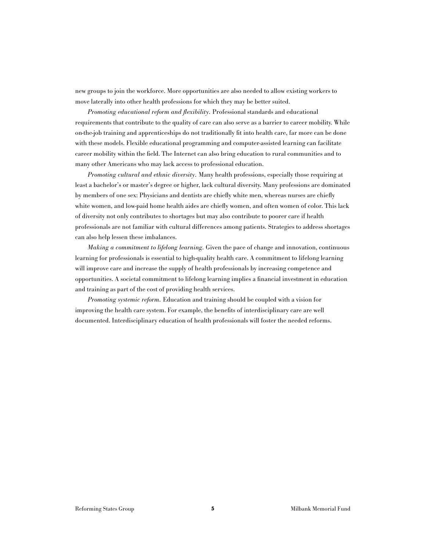new groups to join the workforce. More opportunities are also needed to allow existing workers to move laterally into other health professions for which they may be better suited.

*Promoting educational reform and flexibility.* Professional standards and educational requirements that contribute to the quality of care can also serve as a barrier to career mobility. While on-the-job training and apprenticeships do not traditionally fit into health care, far more can be done with these models. Flexible educational programming and computer-assisted learning can facilitate career mobility within the field. The Internet can also bring education to rural communities and to many other Americans who may lack access to professional education.

*Promoting cultural and ethnic diversity.* Many health professions, especially those requiring at least a bachelor's or master's degree or higher, lack cultural diversity. Many professions are dominated by members of one sex: Physicians and dentists are chiefly white men, whereas nurses are chiefly white women, and low-paid home health aides are chiefly women, and often women of color. This lack of diversity not only contributes to shortages but may also contribute to poorer care if health professionals are not familiar with cultural differences among patients. Strategies to address shortages can also help lessen these imbalances.

*Making a commitment to lifelong learning.* Given the pace of change and innovation, continuous learning for professionals is essential to high-quality health care. A commitment to lifelong learning will improve care and increase the supply of health professionals by increasing competence and opportunities. A societal commitment to lifelong learning implies a financial investment in education and training as part of the cost of providing health services.

*Promoting systemic reform.* Education and training should be coupled with a vision for improving the health care system. For example, the benefits of interdisciplinary care are well documented. Interdisciplinary education of health professionals will foster the needed reforms.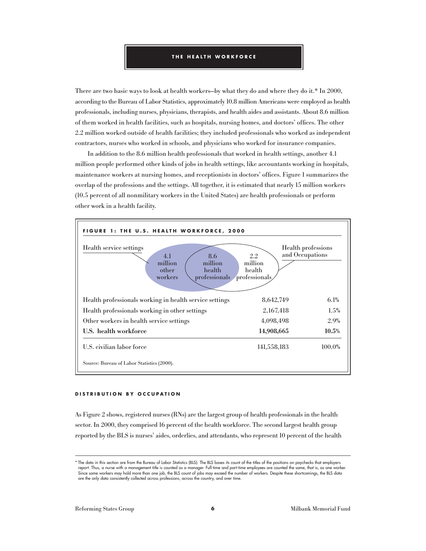#### **THE HEALTH WORKFORCE**

There are two basic ways to look at health workers—by what they do and where they do it.\* In 2000, according to the Bureau of Labor Statistics, approximately 10.8 million Americans were employed as health professionals, including nurses, physicians, therapists, and health aides and assistants. About 8.6 million of them worked in health facilities, such as hospitals, nursing homes, and doctors' offices. The other 2.2 million worked outside of health facilities; they included professionals who worked as independent contractors, nurses who worked in schools, and physicians who worked for insurance companies.

In addition to the 8.6 million health professionals that worked in health settings, another 4.1 million people performed other kinds of jobs in health settings, like accountants working in hospitals, maintenance workers at nursing homes, and receptionists in doctors' offices. Figure 1 summarizes the overlap of the professions and the settings. All together, it is estimated that nearly 15 million workers (10.5 percent of all nonmilitary workers in the United States) are health professionals or perform other work in a health facility.



#### **DISTRIBUTION BY OCCUPATION**

As Figure 2 shows, registered nurses (RNs) are the largest group of health professionals in the health sector. In 2000, they comprised 16 percent of the health workforce. The second largest health group reported by the BLS is nurses' aides, orderlies, and attendants, who represent 10 percent of the health

<sup>\*</sup> The data in this section are from the Bureau of Labor Statistics (BLS). The BLS bases its count of the titles of the positions on paychecks that employers report. Thus, a nurse with a management title is counted as a manager. Full-time and part-time employees are counted the same, that is, as one worker. Since some workers may hold more than one job, the BLS count of jobs may exceed the number of workers. Despite these shortcomings, the BLS data are the only data consistently collected across professions, across the country, and over time.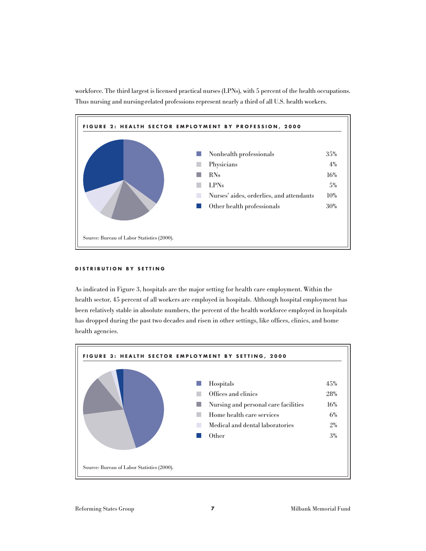



#### **DISTRIBUTION BY SETTING**

As indicated in Figure 3, hospitals are the major setting for health care employment. Within the health sector, 45 percent of all workers are employed in hospitals. Although hospital employment has been relatively stable in absolute numbers, the percent of the health workforce employed in hospitals has dropped during the past two decades and risen in other settings, like offices, clinics, and home health agencies.

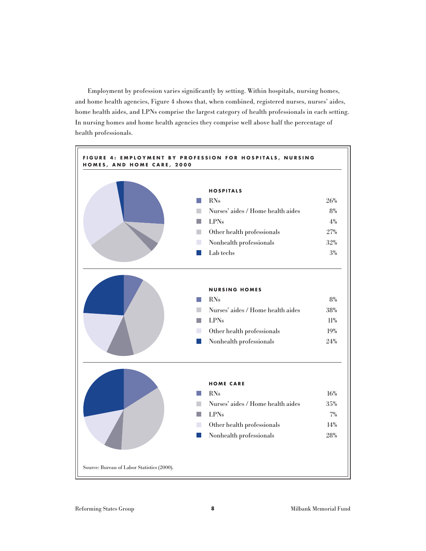Employment by profession varies significantly by setting. Within hospitals, nursing homes, and home health agencies, Figure 4 shows that, when combined, registered nurses, nurses' aides, home health aides, and LPNs comprise the largest category of health professionals in each setting. In nursing homes and home health agencies they comprise well above half the percentage of health professionals.

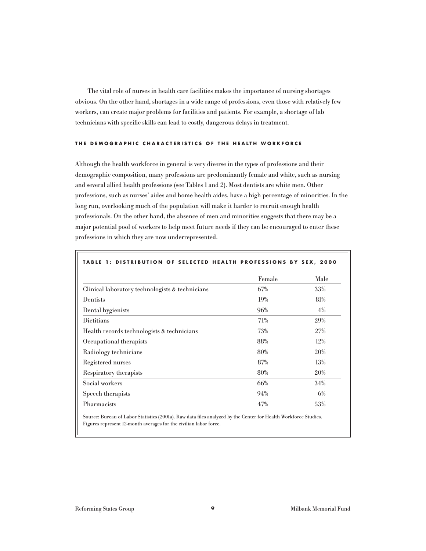The vital role of nurses in health care facilities makes the importance of nursing shortages obvious. On the other hand, shortages in a wide range of professions, even those with relatively few workers, can create major problems for facilities and patients. For example, a shortage of lab technicians with specific skills can lead to costly, dangerous delays in treatment.

#### **THE DEMOGRAPHIC CHARACTERISTICS OF THE HEALTH WORKFORCE**

Although the health workforce in general is very diverse in the types of professions and their demographic composition, many professions are predominantly female and white, such as nursing and several allied health professions (see Tables 1 and 2). Most dentists are white men. Other professions, such as nurses' aides and home health aides, have a high percentage of minorities. In the long run, overlooking much of the population will make it harder to recruit enough health professionals. On the other hand, the absence of men and minorities suggests that there may be a major potential pool of workers to help meet future needs if they can be encouraged to enter these professions in which they are now underrepresented.

| DISTRIBUTION OF SELECTED HEALTH PROFESSIONS BY SEX, 2000 |        |      |
|----------------------------------------------------------|--------|------|
|                                                          | Female | Male |
| Clinical laboratory technologists & technicians          | 67%    | 33%  |
| Dentists                                                 | 19%    | 81%  |
| Dental hygienists                                        | 96%    | 4%   |
| Dietitians                                               | 71%    | 29%  |
| Health records technologists & technicians               | 73%    | 27%  |
| Occupational therapists                                  | 88%    | 12%  |
| Radiology technicians                                    | 80%    | 20%  |
| Registered nurses                                        | 87%    | 13%  |
| Respiratory therapists                                   | 80%    | 20%  |
| Social workers                                           | 66%    | 34%  |
| Speech therapists                                        | 94%    | 6%   |
| Pharmacists                                              | 47%    | 53%  |

Source: Bureau of Labor Statistics (2001a). Raw data files analyzed by the Center for Health Workforce Studies. Figures represent 12-month averages for the civilian labor force.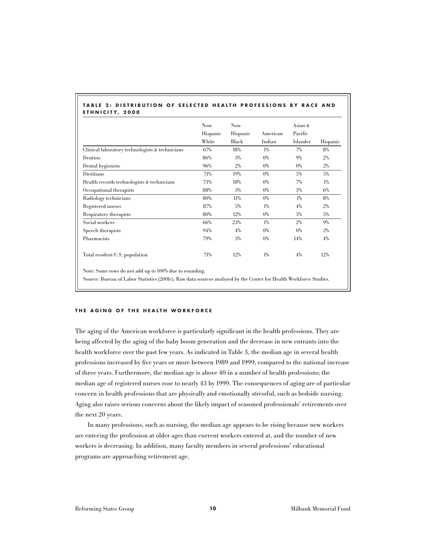| TABLE 2: DISTRIBUTION OF SELECTED HEALTH PROFESSIONS BY RACE AND |  |  |  |  |
|------------------------------------------------------------------|--|--|--|--|
| ETHNICITY, 2000                                                  |  |  |  |  |

|                                                 | Non-     | Non-     |          | Asian &  |          |
|-------------------------------------------------|----------|----------|----------|----------|----------|
|                                                 | Hispanic | Hispanic | American | Pacific  |          |
|                                                 | White    | Black    | Indian   | Islander | Hispanic |
| Clinical laboratory technologists & technicians | 67%      | 18%      | $1\%$    | 7%       | 8%       |
| Dentists                                        | 86%      | 3%       | $0\%$    | 9%       | $2\%$    |
| Dental hygienists                               | 96%      | $2\%$    | $0\%$    | $0\%$    | $2\%$    |
| Dietitians                                      | 71%      | 19%      | $0\%$    | 5%       | 5%       |
| Health records technologists & technicians      | 73%      | 18%      | $0\%$    | 7%       | $1\%$    |
| Occupational therapists                         | 88%      | 3%       | $0\%$    | $3\%$    | 6%       |
| Radiology technicians                           | 80%      | 11%      | $0\%$    | $1\%$    | 8%       |
| Registered nurses                               | 87%      | 5%       | $1\%$    | 4%       | $2\%$    |
| Respiratory therapists                          | 80%      | 12%      | $0\%$    | $3\%$    | 5%       |
| Social workers                                  | 66%      | 23%      | $1\%$    | 2%       | $9\%$    |
| Speech therapists                               | 94%      | 4%       | $0\%$    | $0\%$    | $2\%$    |
| Pharmacists                                     | 79%      | $3\%$    | $0\%$    | 14%      | 4%       |
| Total resident U.S. population                  | 71%      | 12%      | $1\%$    | 4%       | 12%      |

Note: Some rows do not add up to 100% due to rounding.

Source: Bureau of Labor Statistics (2001c). Raw data sources analyzed by the Center for Health Workforce Studies.

#### **THE AGING OF THE HEALTH WORKFORCE**

The aging of the American workforce is particularly significant in the health professions. They are being affected by the aging of the baby boom generation and the decrease in new entrants into the health workforce over the past few years. As indicated in Table 3, the median age in several health professions increased by five years or more between 1989 and 1999, compared to the national increase of three years. Furthermore, the median age is above 40 in a number of health professions; the median age of registered nurses rose to nearly 43 by 1999. The consequences of aging are of particular concern in health professions that are physically and emotionally stressful, such as bedside nursing. Aging also raises serious concerns about the likely impact of seasoned professionals' retirements over the next 20 years.

In many professions, such as nursing, the median age appears to be rising because new workers are entering the profession at older ages than current workers entered at, and the number of new workers is decreasing. In addition, many faculty members in several professions' educational programs are approaching retirement age.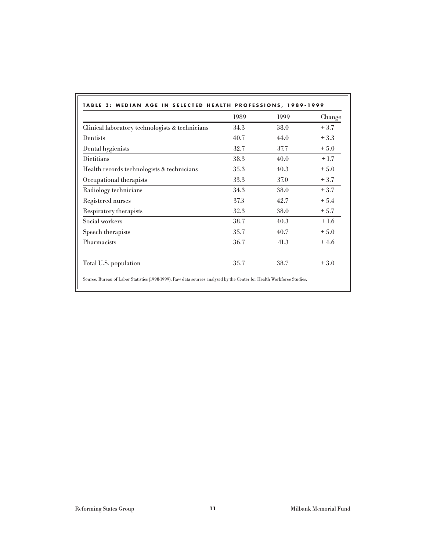|                                                 | 1989 | 1999 | Change |
|-------------------------------------------------|------|------|--------|
| Clinical laboratory technologists & technicians | 34.3 | 38.0 | $+3.7$ |
| Dentists                                        | 40.7 | 44.0 | $+3.3$ |
| Dental hygienists                               | 32.7 | 37.7 | $+5.0$ |
| Dietitians                                      | 38.3 | 40.0 | $+1.7$ |
| Health records technologists & technicians      | 35.3 | 40.3 | $+5.0$ |
| Occupational therapists                         | 33.3 | 37.0 | $+3.7$ |
| Radiology technicians                           | 34.3 | 38.0 | $+3.7$ |
| Registered nurses                               | 37.3 | 42.7 | $+5.4$ |
| Respiratory therapists                          | 32.3 | 38.0 | $+5.7$ |
| Social workers                                  | 38.7 | 40.3 | $+1.6$ |
| Speech therapists                               | 35.7 | 40.7 | $+5.0$ |
| Pharmacists                                     | 36.7 | 41.3 | $+4.6$ |
| Total U.S. population                           | 35.7 | 38.7 | $+3.0$ |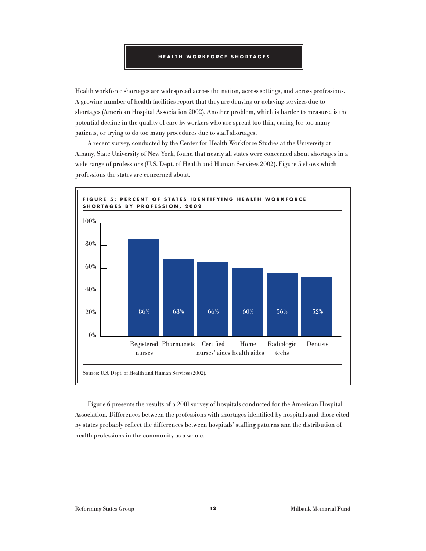Health workforce shortages are widespread across the nation, across settings, and across professions. A growing number of health facilities report that they are denying or delaying services due to shortages (American Hospital Association 2002). Another problem, which is harder to measure, is the potential decline in the quality of care by workers who are spread too thin, caring for too many patients, or trying to do too many procedures due to staff shortages.

A recent survey, conducted by the Center for Health Workforce Studies at the University at Albany, State University of New York, found that nearly all states were concerned about shortages in a wide range of professions (U.S. Dept. of Health and Human Services 2002). Figure 5 shows which professions the states are concerned about.



Figure 6 presents the results of a 2001 survey of hospitals conducted for the American Hospital Association. Differences between the professions with shortages identified by hospitals and those cited by states probably reflect the differences between hospitals' staffing patterns and the distribution of health professions in the community as a whole.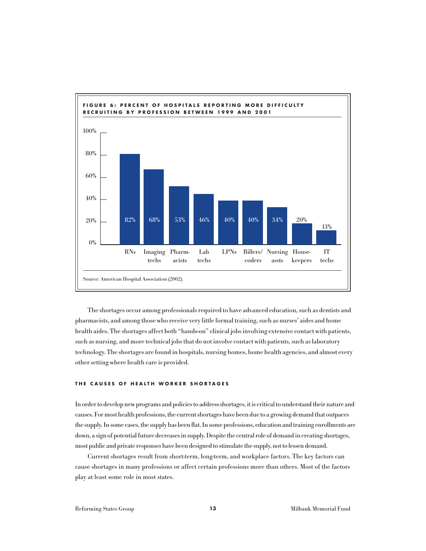

The shortages occur among professionals required to have advanced education, such as dentists and pharmacists, and among those who receive very little formal training, such as nurses' aides and home health aides. The shortages affect both "hands-on" clinical jobs involving extensive contact with patients, such as nursing, and more technical jobs that do not involve contact with patients, such as laboratory technology. The shortages are found in hospitals, nursing homes, home health agencies, and almost every other setting where health care is provided.

#### **THE CAUSES OF HEALTH WORKER SHORTAGES**

In order to develop new programs and policies to address shortages, it is critical to understand their nature and causes. For most health professions, the current shortages have been due to a growing demand that outpaces the supply. In some cases, the supply has been flat. In some professions, education and training enrollments are down, a sign of potential future decreases in supply. Despite the central role of demand in creating shortages, most public and private responses have been designed to stimulate the supply, not to lessen demand.

Current shortages result from short-term, long-term, and workplace factors. The key factors can cause shortages in many professions or affect certain professions more than others. Most of the factors play at least some role in most states.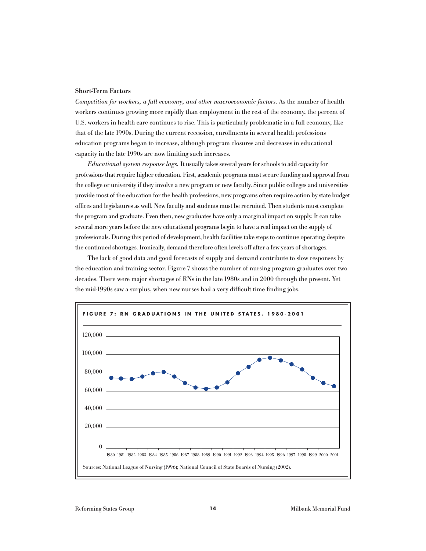#### Short-Term Factors

*Competition for workers, a full economy, and other macroeconomic factors.* As the number of health workers continues growing more rapidly than employment in the rest of the economy, the percent of U.S. workers in health care continues to rise. This is particularly problematic in a full economy, like that of the late 1990s. During the current recession, enrollments in several health professions education programs began to increase, although program closures and decreases in educational capacity in the late 1990s are now limiting such increases.

*Educational system response lags.* It usually takes several years for schools to add capacity for professions that require higher education. First, academic programs must secure funding and approval from the college or university if they involve a new program or new faculty. Since public colleges and universities provide most of the education for the health professions, new programs often require action by state budget offices and legislatures as well. New faculty and students must be recruited. Then students must complete the program and graduate. Even then, new graduates have only a marginal impact on supply. It can take several more years before the new educational programs begin to have a real impact on the supply of professionals. During this period of development, health facilities take steps to continue operating despite the continued shortages. Ironically, demand therefore often levels off after a few years of shortages.

The lack of good data and good forecasts of supply and demand contribute to slow responses by the education and training sector. Figure 7 shows the number of nursing program graduates over two decades. There were major shortages of RNs in the late 1980s and in 2000 through the present. Yet the mid-1990s saw a surplus, when new nurses had a very difficult time finding jobs.

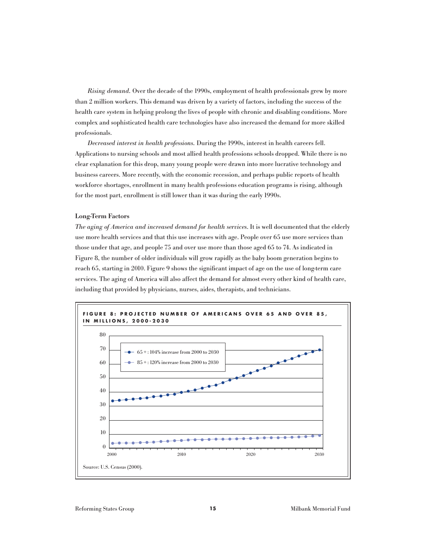*Rising demand.* Over the decade of the 1990s, employment of health professionals grew by more than 2 million workers. This demand was driven by a variety of factors, including the success of the health care system in helping prolong the lives of people with chronic and disabling conditions. More complex and sophisticated health care technologies have also increased the demand for more skilled professionals.

*Decreased interest in health professions.* During the 1990s, interest in health careers fell. Applications to nursing schools and most allied health professions schools dropped. While there is no clear explanation for this drop, many young people were drawn into more lucrative technology and business careers. More recently, with the economic recession, and perhaps public reports of health workforce shortages, enrollment in many health professions education programs is rising, although for the most part, enrollment is still lower than it was during the early 1990s.

#### Long-Term Factors

*The aging of America and increased demand for health services*. It is well documented that the elderly use more health services and that this use increases with age. People over 65 use more services than those under that age, and people 75 and over use more than those aged 65 to 74. As indicated in Figure 8, the number of older individuals will grow rapidly as the baby boom generation begins to reach 65, starting in 2010. Figure 9 shows the significant impact of age on the use of long-term care services. The aging of America will also affect the demand for almost every other kind of health care, including that provided by physicians, nurses, aides, therapists, and technicians.

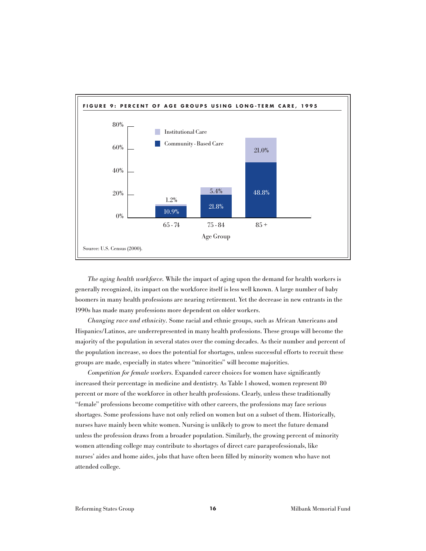

*The aging health workforce.* While the impact of aging upon the demand for health workers is generally recognized, its impact on the workforce itself is less well known. A large number of baby boomers in many health professions are nearing retirement. Yet the decrease in new entrants in the 1990s has made many professions more dependent on older workers.

*Changing race and ethnicity.* Some racial and ethnic groups, such as African Americans and Hispanics/Latinos, are underrepresented in many health professions. These groups will become the majority of the population in several states over the coming decades. As their number and percent of the population increase, so does the potential for shortages, unless successful efforts to recruit these groups are made, especially in states where "minorities" will become majorities.

*Competition for female workers.* Expanded career choices for women have significantly increased their percentage in medicine and dentistry. As Table 1 showed, women represent 80 percent or more of the workforce in other health professions. Clearly, unless these traditionally "female" professions become competitive with other careers, the professions may face serious shortages. Some professions have not only relied on women but on a subset of them. Historically, nurses have mainly been white women. Nursing is unlikely to grow to meet the future demand unless the profession draws from a broader population. Similarly, the growing percent of minority women attending college may contribute to shortages of direct care paraprofessionals, like nurses' aides and home aides, jobs that have often been filled by minority women who have not attended college.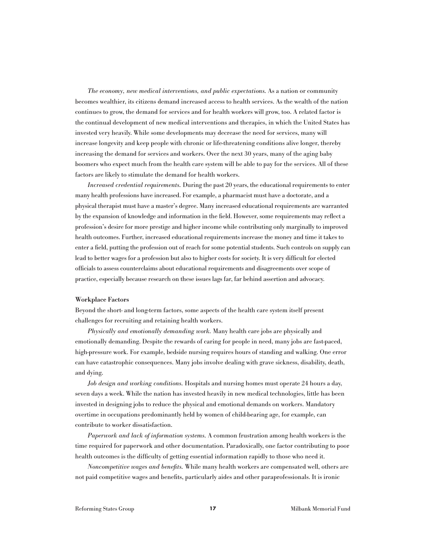*The economy, new medical interventions, and public expectations.* As a nation or community becomes wealthier, its citizens demand increased access to health services. As the wealth of the nation continues to grow, the demand for services and for health workers will grow, too. A related factor is the continual development of new medical interventions and therapies, in which the United States has invested very heavily. While some developments may decrease the need for services, many will increase longevity and keep people with chronic or life-threatening conditions alive longer, thereby increasing the demand for services and workers. Over the next 30 years, many of the aging baby boomers who expect much from the health care system will be able to pay for the services. All of these factors are likely to stimulate the demand for health workers.

*Increased credential requirements.* During the past 20 years, the educational requirements to enter many health professions have increased. For example, a pharmacist must have a doctorate, and a physical therapist must have a master's degree. Many increased educational requirements are warranted by the expansion of knowledge and information in the field. However, some requirements may reflect a profession's desire for more prestige and higher income while contributing only marginally to improved health outcomes. Further, increased educational requirements increase the money and time it takes to enter a field, putting the profession out of reach for some potential students. Such controls on supply can lead to better wages for a profession but also to higher costs for society. It is very difficult for elected officials to assess counterclaims about educational requirements and disagreements over scope of practice, especially because research on these issues lags far, far behind assertion and advocacy.

#### Workplace Factors

Beyond the short- and long-term factors, some aspects of the health care system itself present challenges for recruiting and retaining health workers.

*Physically and emotionally demanding work.* Many health care jobs are physically and emotionally demanding. Despite the rewards of caring for people in need, many jobs are fast-paced, high-pressure work. For example, bedside nursing requires hours of standing and walking. One error can have catastrophic consequences. Many jobs involve dealing with grave sickness, disability, death, and dying.

*Job design and working conditions.* Hospitals and nursing homes must operate 24 hours a day, seven days a week. While the nation has invested heavily in new medical technologies, little has been invested in designing jobs to reduce the physical and emotional demands on workers. Mandatory overtime in occupations predominantly held by women of child-bearing age, for example, can contribute to worker dissatisfaction.

*Paperwork and lack of information systems.* A common frustration among health workers is the time required for paperwork and other documentation. Paradoxically, one factor contributing to poor health outcomes is the difficulty of getting essential information rapidly to those who need it.

*Noncompetitive wages and benefits.* While many health workers are compensated well, others are not paid competitive wages and benefits, particularly aides and other paraprofessionals. It is ironic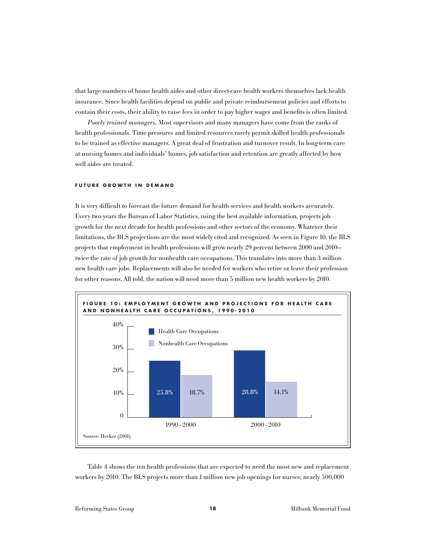that large numbers of home health aides and other direct-care health workers themselves lack health insurance. Since health facilities depend on public and private reimbursement policies and efforts to contain their costs, their ability to raise fees in order to pay higher wages and benefits is often limited.

*Poorly trained managers.* Most supervisors and many managers have come from the ranks of health professionals. Time pressures and limited resources rarely permit skilled health professionals to be trained as effective managers. A great deal of frustration and turnover result. In long-term care at nursing homes and individuals' homes, job satisfaction and retention are greatly affected by how well aides are treated.

#### **FUTURE GROWTH IN DEMAND**

It is very difficult to forecast the future demand for health services and health workers accurately. Every two years the Bureau of Labor Statistics, using the best available information, projects job growth for the next decade for health professions and other sectors of the economy. Whatever their limitations, the BLS projections are the most widely cited and recognized. As seen in Figure 10, the BLS projects that employment in health professions will grow nearly 29 percent between 2000 and 2010 twice the rate of job growth for nonhealth care occupations. This translates into more than 3 million new health care jobs. Replacements will also be needed for workers who retire or leave their profession for other reasons. All told, the nation will need more than 5 million new health workers by 2010.



Table 4 shows the ten health professions that are expected to need the most new and replacement workers by 2010. The BLS projects more than 1 million new job openings for nurses; nearly 500,000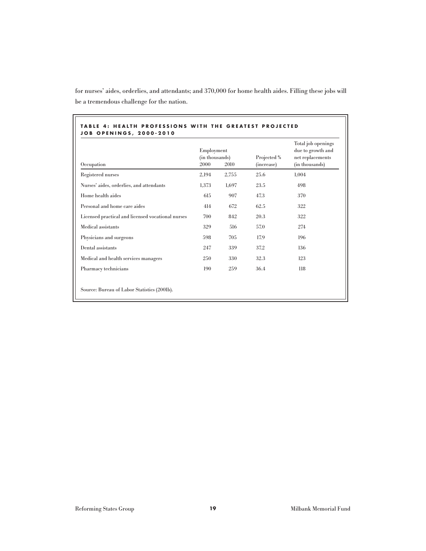|                                                   | Employment<br>(in thousands) |       | Projected % | Total job openings<br>due to growth and<br>net replacements<br>(in thousands) |  |
|---------------------------------------------------|------------------------------|-------|-------------|-------------------------------------------------------------------------------|--|
| Occupation                                        | 2000                         | 2010  | (increase)  |                                                                               |  |
| Registered nurses                                 | 2,194                        | 2,755 | 25.6        | 1.004                                                                         |  |
| Nurses' aides, orderlies, and attendants          | 1,373                        | 1,697 | 23.5        | 498                                                                           |  |
| Home health aides                                 | 615                          | 907   | 47.3        | 370                                                                           |  |
| Personal and home care aides                      | 414                          | 672   | 62.5        | 322                                                                           |  |
| Licensed practical and licensed vocational nurses | 700                          | 842   | 20.3        | 322                                                                           |  |
| Medical assistants                                | 329                          | 516   | 57.0        | 274                                                                           |  |
| Physicians and surgeons                           | 598                          | 705   | 17.9        | 196                                                                           |  |
| Dental assistants                                 | 247                          | 339   | 37.2        | 136                                                                           |  |
| Medical and health services managers              | 250                          | 330   | 32.3        | 123                                                                           |  |
| Pharmacy technicians                              | 190                          | 259   | 36.4        | 118                                                                           |  |

for nurses' aides, orderlies, and attendants; and 370,000 for home health aides. Filling these jobs will be a tremendous challenge for the nation.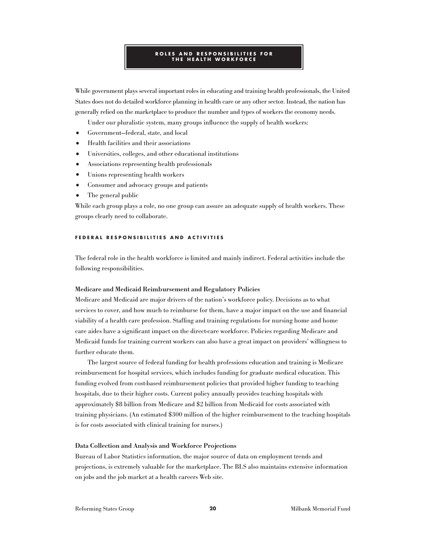#### **ROLES AND RESPONSIBILITIES FOR THE HEALTH WORKFORCE**

While government plays several important roles in educating and training health professionals, the United States does not do detailed workforce planning in health care or any other sector. Instead, the nation has generally relied on the marketplace to produce the number and types of workers the economy needs.

Under our pluralistic system, many groups influence the supply of health workers:

- **•** Government—federal, state, and local
- **•** Health facilities and their associations
- **•** Universities, colleges, and other educational institutions
- **•** Associations representing health professionals
- **•** Unions representing health workers
- **•** Consumer and advocacy groups and patients
- **•** The general public

While each group plays a role, no one group can assure an adequate supply of health workers. These groups clearly need to collaborate.

#### **FEDERAL RESPONSIBILITIES AND ACTIVITIES**

The federal role in the health workforce is limited and mainly indirect. Federal activities include the following responsibilities.

#### Medicare and Medicaid Reimbursement and Regulatory Policies

Medicare and Medicaid are major drivers of the nation's workforce policy. Decisions as to what services to cover, and how much to reimburse for them, have a major impact on the use and financial viability of a health care profession. Staffing and training regulations for nursing home and home care aides have a significant impact on the direct-care workforce. Policies regarding Medicare and Medicaid funds for training current workers can also have a great impact on providers' willingness to further educate them.

The largest source of federal funding for health professions education and training is Medicare reimbursement for hospital services, which includes funding for graduate medical education. This funding evolved from cost-based reimbursement policies that provided higher funding to teaching hospitals, due to their higher costs. Current policy annually provides teaching hospitals with approximately \$8 billion from Medicare and \$2 billion from Medicaid for costs associated with training physicians. (An estimated \$300 million of the higher reimbursement to the teaching hospitals is for costs associated with clinical training for nurses.)

#### Data Collection and Analysis and Workforce Projections

Bureau of Labor Statistics information, the major source of data on employment trends and projections, is extremely valuable for the marketplace. The BLS also maintains extensive information on jobs and the job market at a health careers Web site.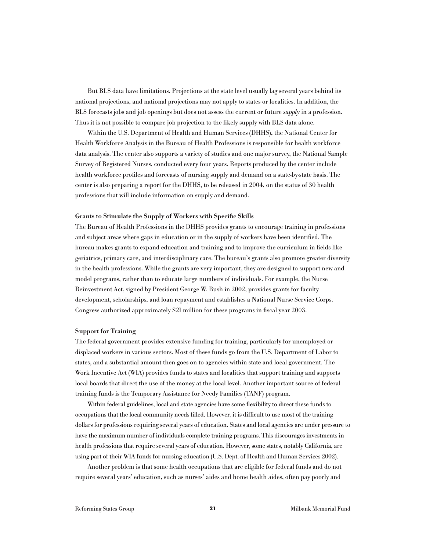But BLS data have limitations. Projections at the state level usually lag several years behind its national projections, and national projections may not apply to states or localities. In addition, the BLS forecasts jobs and job openings but does not assess the current or future *supply* in a profession. Thus it is not possible to compare job projection to the likely supply with BLS data alone.

Within the U.S. Department of Health and Human Services (DHHS), the National Center for Health Workforce Analysis in the Bureau of Health Professions is responsible for health workforce data analysis. The center also supports a variety of studies and one major survey, the National Sample Survey of Registered Nurses, conducted every four years. Reports produced by the center include health workforce profiles and forecasts of nursing supply and demand on a state-by-state basis. The center is also preparing a report for the DHHS, to be released in 2004, on the status of 30 health professions that will include information on supply and demand.

#### Grants to Stimulate the Supply of Workers with Specific Skills

The Bureau of Health Professions in the DHHS provides grants to encourage training in professions and subject areas where gaps in education or in the supply of workers have been identified. The bureau makes grants to expand education and training and to improve the curriculum in fields like geriatrics, primary care, and interdisciplinary care. The bureau's grants also promote greater diversity in the health professions. While the grants are very important, they are designed to support new and model programs, rather than to educate large numbers of individuals. For example, the Nurse Reinvestment Act, signed by President George W. Bush in 2002, provides grants for faculty development, scholarships, and loan repayment and establishes a National Nurse Service Corps. Congress authorized approximately \$21 million for these programs in fiscal year 2003.

#### Support for Training

The federal government provides extensive funding for training, particularly for unemployed or displaced workers in various sectors. Most of these funds go from the U.S. Department of Labor to states, and a substantial amount then goes on to agencies within state and local government. The Work Incentive Act (WIA) provides funds to states and localities that support training and supports local boards that direct the use of the money at the local level. Another important source of federal training funds is the Temporary Assistance for Needy Families (TANF) program.

Within federal guidelines, local and state agencies have some flexibility to direct these funds to occupations that the local community needs filled. However, it is difficult to use most of the training dollars for professions requiring several years of education. States and local agencies are under pressure to have the maximum number of individuals complete training programs. This discourages investments in health professions that require several years of education. However, some states, notably California, are using part of their WIA funds for nursing education (U.S. Dept. of Health and Human Services 2002).

Another problem is that some health occupations that are eligible for federal funds and do not require several years' education, such as nurses' aides and home health aides, often pay poorly and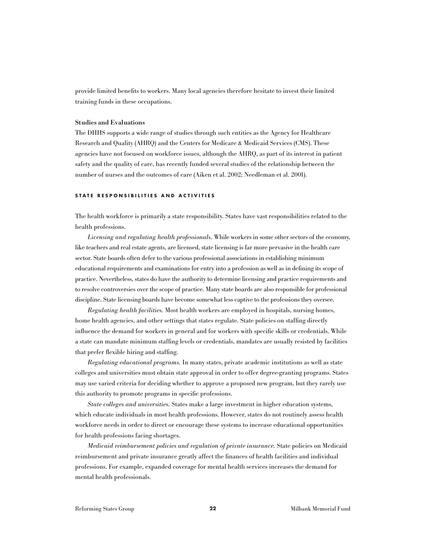provide limited benefits to workers. Many local agencies therefore hesitate to invest their limited training funds in these occupations.

#### Studies and Evaluations

The DHHS supports a wide range of studies through such entities as the Agency for Healthcare Research and Quality (AHRQ) and the Centers for Medicare & Medicaid Services (CMS). These agencies have not focused on workforce issues, although the AHRQ, as part of its interest in patient safety and the quality of care, has recently funded several studies of the relationship between the number of nurses and the outcomes of care (Aiken et al. 2002; Needleman et al. 2001).

#### **STATE RESPONSIBILITIES AND ACTIVITIES**

The health workforce is primarily a state responsibility. States have vast responsibilities related to the health professions.

*Licensing and regulating health professionals.* While workers in some other sectors of the economy, like teachers and real estate agents, are licensed, state licensing is far more pervasive in the health care sector. State boards often defer to the various professional associations in establishing minimum educational requirements and examinations for entry into a profession as well as in defining its scope of practice. Nevertheless, states do have the authority to determine licensing and practice requirements and to resolve controversies over the scope of practice. Many state boards are also responsible for professional discipline. State licensing boards have become somewhat less captive to the professions they oversee.

*Regulating health facilities.* Most health workers are employed in hospitals, nursing homes, home health agencies, and other settings that states regulate. State policies on staffing directly influence the demand for workers in general and for workers with specific skills or credentials. While a state can mandate minimum staffing levels or credentials, mandates are usually resisted by facilities that prefer flexible hiring and staffing.

*Regulating educational programs.* In many states, private academic institutions as well as state colleges and universities must obtain state approval in order to offer degree-granting programs. States may use varied criteria for deciding whether to approve a proposed new program, but they rarely use this authority to promote programs in specific professions.

*State colleges and universities.* States make a large investment in higher education systems, which educate individuals in most health professions. However, states do not routinely assess health workforce needs in order to direct or encourage these systems to increase educational opportunities for health professions facing shortages.

*Medicaid reimbursement policies and regulation of private insurance.* State policies on Medicaid reimbursement and private insurance greatly affect the finances of health facilities and individual professions. For example, expanded coverage for mental health services increases the demand for mental health professionals.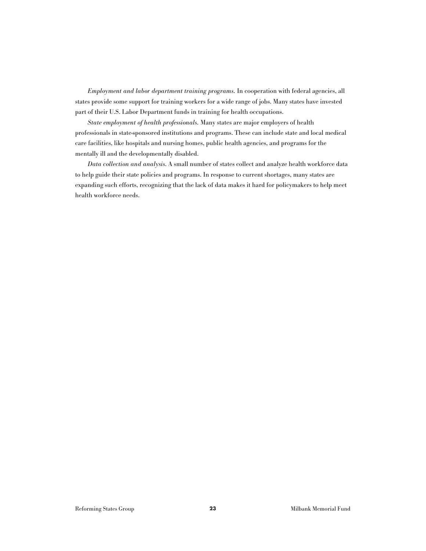*Employment and labor department training programs.* In cooperation with federal agencies, all states provide some support for training workers for a wide range of jobs. Many states have invested part of their U.S. Labor Department funds in training for health occupations.

*State employment of health professionals.* Many states are major employers of health professionals in state-sponsored institutions and programs. These can include state and local medical care facilities, like hospitals and nursing homes, public health agencies, and programs for the mentally ill and the developmentally disabled.

*Data collection and analysis*. A small number of states collect and analyze health workforce data to help guide their state policies and programs. In response to current shortages, many states are expanding such efforts, recognizing that the lack of data makes it hard for policymakers to help meet health workforce needs.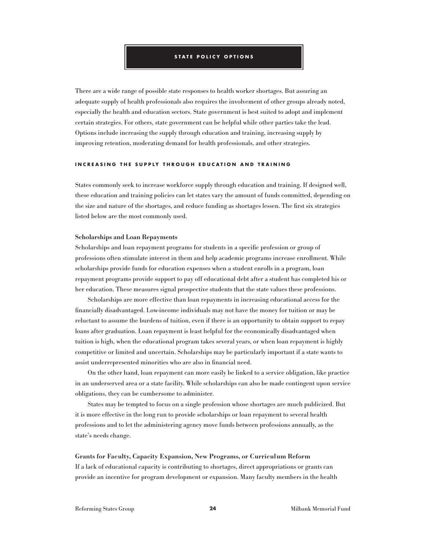#### **STATE POLICY OPTIONS**

There are a wide range of possible state responses to health worker shortages. But assuring an adequate supply of health professionals also requires the involvement of other groups already noted, especially the health and education sectors. State government is best suited to adopt and implement certain strategies. For others, state government can be helpful while other parties take the lead. Options include increasing the supply through education and training, increasing supply by improving retention, moderating demand for health professionals, and other strategies.

#### **INCREASING THE SUPPLY THROUGH EDUCATION AND TRAINING**

States commonly seek to increase workforce supply through education and training. If designed well, these education and training policies can let states vary the amount of funds committed, depending on the size and nature of the shortages, and reduce funding as shortages lessen. The first six strategies listed below are the most commonly used.

#### Scholarships and Loan Repayments

Scholarships and loan repayment programs for students in a specific profession or group of professions often stimulate interest in them and help academic programs increase enrollment. While scholarships provide funds for education expenses when a student enrolls in a program, loan repayment programs provide support to pay off educational debt after a student has completed his or her education. These measures signal prospective students that the state values these professions.

Scholarships are more effective than loan repayments in increasing educational access for the financially disadvantaged. Low-income individuals may not have the money for tuition or may be reluctant to assume the burdens of tuition, even if there is an opportunity to obtain support to repay loans after graduation. Loan repayment is least helpful for the economically disadvantaged when tuition is high, when the educational program takes several years, or when loan repayment is highly competitive or limited and uncertain. Scholarships may be particularly important if a state wants to assist underrepresented minorities who are also in financial need.

On the other hand, loan repayment can more easily be linked to a service obligation, like practice in an underserved area or a state facility. While scholarships can also be made contingent upon service obligations, they can be cumbersome to administer.

States may be tempted to focus on a single profession whose shortages are much publicized. But it is more effective in the long run to provide scholarships or loan repayment to several health professions and to let the administering agency move funds between professions annually, as the state's needs change.

# Grants for Faculty, Capacity Expansion, New Programs, or Curriculum Reform If a lack of educational capacity is contributing to shortages, direct appropriations or grants can provide an incentive for program development or expansion. Many faculty members in the health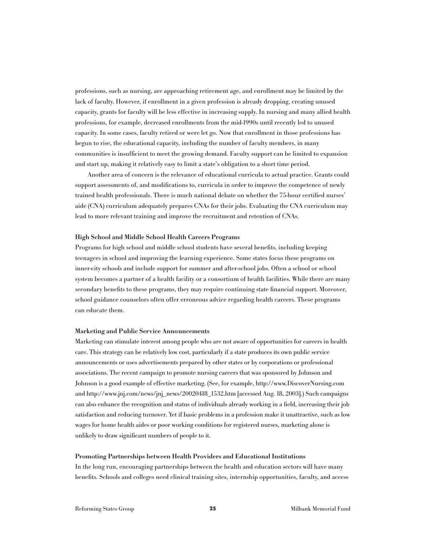professions, such as nursing, are approaching retirement age, and enrollment may be limited by the lack of faculty. However, if enrollment in a given profession is already dropping, creating unused capacity, grants for faculty will be less effective in increasing supply. In nursing and many allied health professions, for example, decreased enrollments from the mid-1990s until recently led to unused capacity. In some cases, faculty retired or were let go. Now that enrollment in those professions has begun to rise, the educational capacity, including the number of faculty members, in many communities is insufficient to meet the growing demand. Faculty support can be limited to expansion and start up, making it relatively easy to limit a state's obligation to a short time period.

Another area of concern is the relevance of educational curricula to actual practice. Grants could support assessments of, and modifications to, curricula in order to improve the competence of newly trained health professionals. There is much national debate on whether the 75-hour certified nurses' aide (CNA) curriculum adequately prepares CNAs for their jobs. Evaluating the CNA curriculum may lead to more relevant training and improve the recruitment and retention of CNAs.

#### High School and Middle School Health Careers Programs

Programs for high school and middle school students have several benefits, including keeping teenagers in school and improving the learning experience. Some states focus these programs on inner-city schools and include support for summer and after-school jobs. Often a school or school system becomes a partner of a health facility or a consortium of health facilities. While there are many secondary benefits to these programs, they may require continuing state financial support. Moreover, school guidance counselors often offer erroneous advice regarding health careers. These programs can educate them.

#### Marketing and Public Service Announcements

Marketing can stimulate interest among people who are not aware of opportunities for careers in health care. This strategy can be relatively low cost, particularly if a state produces its own public service announcements or uses advertisements prepared by other states or by corporations or professional associations. The recent campaign to promote nursing careers that was sponsored by Johnson and Johnson is a good example of effective marketing. (See, for example, http://www.DiscoverNursing.com and http://www.jnj.com/news/jnj\_news/20020418\_1532.htm [accessed Aug. 18, 2003].) Such campaigns can also enhance the recognition and status of individuals already working in a field, increasing their job satisfaction and reducing turnover. Yet if basic problems in a profession make it unattractive, such as low wages for home health aides or poor working conditions for registered nurses, marketing alone is unlikely to draw significant numbers of people to it.

#### Promoting Partnerships between Health Providers and Educational Institutions

In the long run, encouraging partnerships between the health and education sectors will have many benefits. Schools and colleges need clinical training sites, internship opportunities, faculty, and access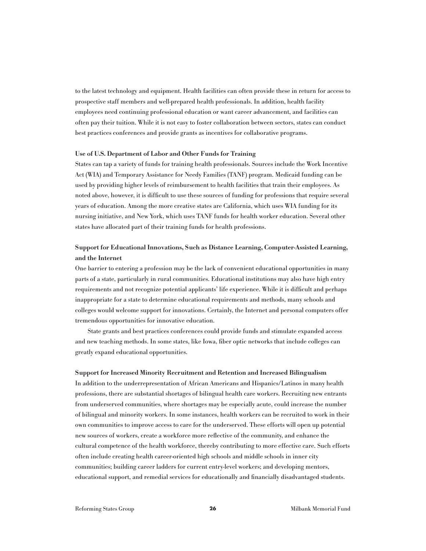to the latest technology and equipment. Health facilities can often provide these in return for access to prospective staff members and well-prepared health professionals. In addition, health facility employees need continuing professional education or want career advancement, and facilities can often pay their tuition. While it is not easy to foster collaboration between sectors, states can conduct best practices conferences and provide grants as incentives for collaborative programs.

#### Use of U.S. Department of Labor and Other Funds for Training

States can tap a variety of funds for training health professionals. Sources include the Work Incentive Act (WIA) and Temporary Assistance for Needy Families (TANF) program. Medicaid funding can be used by providing higher levels of reimbursement to health facilities that train their employees. As noted above, however, it is difficult to use these sources of funding for professions that require several years of education. Among the more creative states are California, which uses WIA funding for its nursing initiative, and New York, which uses TANF funds for health worker education. Several other states have allocated part of their training funds for health professions.

# Support for Educational Innovations, Such as Distance Learning, Computer-Assisted Learning, and the Internet

One barrier to entering a profession may be the lack of convenient educational opportunities in many parts of a state, particularly in rural communities. Educational institutions may also have high entry requirements and not recognize potential applicants' life experience. While it is difficult and perhaps inappropriate for a state to determine educational requirements and methods, many schools and colleges would welcome support for innovations. Certainly, the Internet and personal computers offer tremendous opportunities for innovative education.

State grants and best practices conferences could provide funds and stimulate expanded access and new teaching methods. In some states, like Iowa, fiber optic networks that include colleges can greatly expand educational opportunities.

#### Support for Increased Minority Recruitment and Retention and Increased Bilingualism

In addition to the underrepresentation of African Americans and Hispanics/Latinos in many health professions, there are substantial shortages of bilingual health care workers. Recruiting new entrants from underserved communities, where shortages may be especially acute, could increase the number of bilingual and minority workers. In some instances, health workers can be recruited to work in their own communities to improve access to care for the underserved. These efforts will open up potential new sources of workers, create a workforce more reflective of the community, and enhance the cultural competence of the health workforce, thereby contributing to more effective care. Such efforts often include creating health career-oriented high schools and middle schools in inner city communities; building career ladders for current entry-level workers; and developing mentors, educational support, and remedial services for educationally and financially disadvantaged students.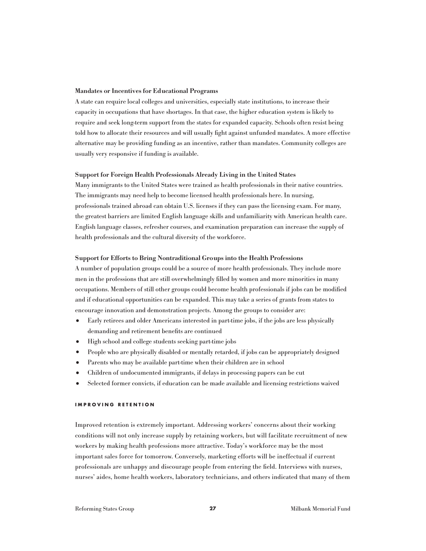#### Mandates or Incentives for Educational Programs

A state can require local colleges and universities, especially state institutions, to increase their capacity in occupations that have shortages. In that case, the higher education system is likely to require and seek long-term support from the states for expanded capacity. Schools often resist being told how to allocate their resources and will usually fight against unfunded mandates. A more effective alternative may be providing funding as an incentive, rather than mandates. Community colleges are usually very responsive if funding is available.

#### Support for Foreign Health Professionals Already Living in the United States

Many immigrants to the United States were trained as health professionals in their native countries. The immigrants may need help to become licensed health professionals here. In nursing, professionals trained abroad can obtain U.S. licenses if they can pass the licensing exam. For many, the greatest barriers are limited English language skills and unfamiliarity with American health care. English language classes, refresher courses, and examination preparation can increase the supply of health professionals and the cultural diversity of the workforce.

#### Support for Efforts to Bring Nontraditional Groups into the Health Professions

A number of population groups could be a source of more health professionals. They include more men in the professions that are still overwhelmingly filled by women and more minorities in many occupations. Members of still other groups could become health professionals if jobs can be modified and if educational opportunities can be expanded. This may take a series of grants from states to encourage innovation and demonstration projects. Among the groups to consider are:

- Early retirees and older Americans interested in part-time jobs, if the jobs are less physically demanding and retirement benefits are continued
- **•** High school and college students seeking part-time jobs
- People who are physically disabled or mentally retarded, if jobs can be appropriately designed
- **•** Parents who may be available part-time when their children are in school
- **•** Children of undocumented immigrants, if delays in processing papers can be cut
- Selected former convicts, if education can be made available and licensing restrictions waived

#### **IMPROVING RETENTION**

Improved retention is extremely important. Addressing workers' concerns about their working conditions will not only increase supply by retaining workers, but will facilitate recruitment of new workers by making health professions more attractive. Today's workforce may be the most important sales force for tomorrow. Conversely, marketing efforts will be ineffectual if current professionals are unhappy and discourage people from entering the field. Interviews with nurses, nurses' aides, home health workers, laboratory technicians, and others indicated that many of them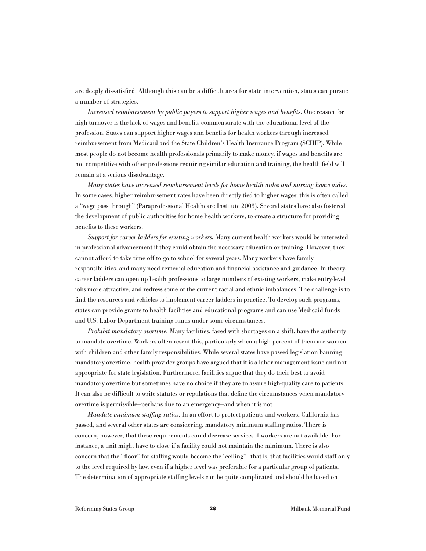are deeply dissatisfied. Although this can be a difficult area for state intervention, states can pursue a number of strategies.

*Increased reimbursement by public payers to support higher wages and benefits.* One reason for high turnover is the lack of wages and benefits commensurate with the educational level of the profession. States can support higher wages and benefits for health workers through increased reimbursement from Medicaid and the State Children's Health Insurance Program (SCHIP). While most people do not become health professionals primarily to make money, if wages and benefits are not competitive with other professions requiring similar education and training, the health field will remain at a serious disadvantage.

*Many states have increased reimbursement levels for home health aides and nursing home aides.* In some cases, higher reimbursement rates have been directly tied to higher wages; this is often called a "wage pass through" (Paraprofessional Healthcare Institute 2003). Several states have also fostered the development of public authorities for home health workers, to create a structure for providing benefits to these workers.

*Support for career ladders for existing workers.* Many current health workers would be interested in professional advancement if they could obtain the necessary education or training. However, they cannot afford to take time off to go to school for several years. Many workers have family responsibilities, and many need remedial education and financial assistance and guidance. In theory, career ladders can open up health professions to large numbers of existing workers, make entry-level jobs more attractive, and redress some of the current racial and ethnic imbalances. The challenge is to find the resources and vehicles to implement career ladders in practice. To develop such programs, states can provide grants to health facilities and educational programs and can use Medicaid funds and U.S. Labor Department training funds under some circumstances.

*Prohibit mandatory overtime.* Many facilities, faced with shortages on a shift, have the authority to mandate overtime. Workers often resent this, particularly when a high percent of them are women with children and other family responsibilities. While several states have passed legislation banning mandatory overtime, health provider groups have argued that it is a labor-management issue and not appropriate for state legislation. Furthermore, facilities argue that they do their best to avoid mandatory overtime but sometimes have no choice if they are to assure high-quality care to patients. It can also be difficult to write statutes or regulations that define the circumstances when mandatory overtime is permissible—perhaps due to an emergency—and when it is not.

*Mandate minimum staffing ratios.* In an effort to protect patients and workers, California has passed, and several other states are considering, mandatory minimum staffing ratios. There is concern, however, that these requirements could decrease services if workers are not available. For instance, a unit might have to close if a facility could not maintain the minimum. There is also concern that the "floor" for staffing would become the "ceiling"—that is, that facilities would staff only to the level required by law, even if a higher level was preferable for a particular group of patients. The determination of appropriate staffing levels can be quite complicated and should be based on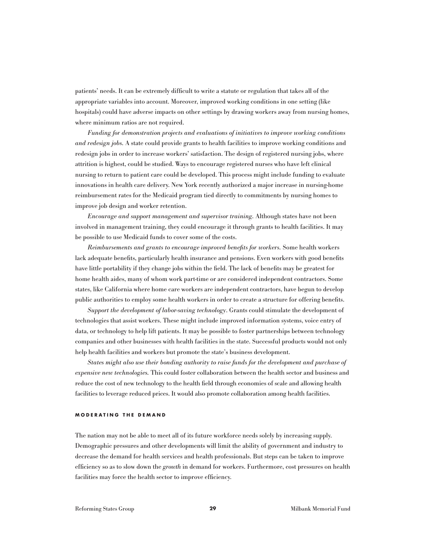patients' needs. It can be extremely difficult to write a statute or regulation that takes all of the appropriate variables into account. Moreover, improved working conditions in one setting (like hospitals) could have adverse impacts on other settings by drawing workers away from nursing homes, where minimum ratios are not required.

*Funding for demonstration projects and evaluations of initiatives to improve working conditions and redesign jobs.* A state could provide grants to health facilities to improve working conditions and redesign jobs in order to increase workers' satisfaction. The design of registered nursing jobs, where attrition is highest, could be studied. Ways to encourage registered nurses who have left clinical nursing to return to patient care could be developed. This process might include funding to evaluate innovations in health care delivery. New York recently authorized a major increase in nursing-home reimbursement rates for the Medicaid program tied directly to commitments by nursing homes to improve job design and worker retention.

*Encourage and support management and supervisor training.* Although states have not been involved in management training, they could encourage it through grants to health facilities. It may be possible to use Medicaid funds to cover some of the costs.

*Reimbursements and grants to encourage improved benefits for workers.* Some health workers lack adequate benefits, particularly health insurance and pensions. Even workers with good benefits have little portability if they change jobs within the field. The lack of benefits may be greatest for home health aides, many of whom work part-time or are considered independent contractors. Some states, like California where home care workers are independent contractors, have begun to develop public authorities to employ some health workers in order to create a structure for offering benefits.

*Support the development of labor-saving technology*. Grants could stimulate the development of technologies that assist workers. These might include improved information systems, voice entry of data, or technology to help lift patients. It may be possible to foster partnerships between technology companies and other businesses with health facilities in the state. Successful products would not only help health facilities and workers but promote the state's business development.

*States might also use their bonding authority to raise funds for the development and purchase of expensive new technologies.* This could foster collaboration between the health sector and business and reduce the cost of new technology to the health field through economies of scale and allowing health facilities to leverage reduced prices. It would also promote collaboration among health facilities.

#### **MODERATING THE DEMAND**

The nation may not be able to meet all of its future workforce needs solely by increasing supply. Demographic pressures and other developments will limit the ability of government and industry to decrease the demand for health services and health professionals. But steps can be taken to improve efficiency so as to slow down the *growth* in demand for workers. Furthermore, cost pressures on health facilities may force the health sector to improve efficiency.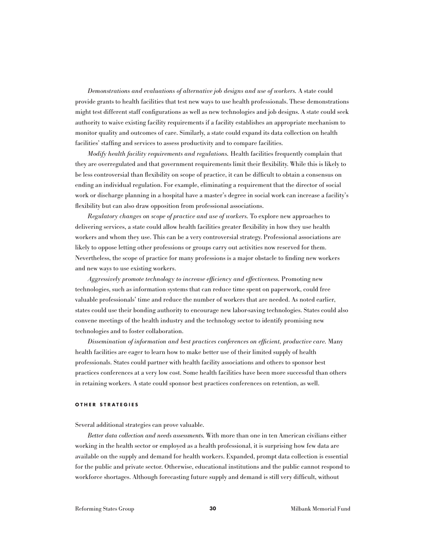*Demonstrations and evaluations of alternative job designs and use of workers.* A state could provide grants to health facilities that test new ways to use health professionals. These demonstrations might test different staff configurations as well as new technologies and job designs. A state could seek authority to waive existing facility requirements if a facility establishes an appropriate mechanism to monitor quality and outcomes of care. Similarly, a state could expand its data collection on health facilities' staffing and services to assess productivity and to compare facilities.

*Modify health facility requirements and regulations.* Health facilities frequently complain that they are overregulated and that government requirements limit their flexibility. While this is likely to be less controversial than flexibility on scope of practice, it can be difficult to obtain a consensus on ending an individual regulation. For example, eliminating a requirement that the director of social work or discharge planning in a hospital have a master's degree in social work can increase a facility's flexibility but can also draw opposition from professional associations.

*Regulatory changes on scope of practice and use of workers.* To explore new approaches to delivering services, a state could allow health facilities greater flexibility in how they use health workers and whom they use. This can be a very controversial strategy. Professional associations are likely to oppose letting other professions or groups carry out activities now reserved for them. Nevertheless, the scope of practice for many professions is a major obstacle to finding new workers and new ways to use existing workers.

*Aggressively promote technology to increase efficiency and effectiveness.* Promoting new technologies, such as information systems that can reduce time spent on paperwork, could free valuable professionals' time and reduce the number of workers that are needed. As noted earlier, states could use their bonding authority to encourage new labor-saving technologies. States could also convene meetings of the health industry and the technology sector to identify promising new technologies and to foster collaboration.

*Dissemination of information and best practices conferences on efficient, productive care.* Many health facilities are eager to learn how to make better use of their limited supply of health professionals. States could partner with health facility associations and others to sponsor best practices conferences at a very low cost. Some health facilities have been more successful than others in retaining workers. A state could sponsor best practices conferences on retention, as well.

#### **OTHER STRATEGIES**

Several additional strategies can prove valuable.

*Better data collection and needs assessments.* With more than one in ten American civilians either working in the health sector or employed as a health professional, it is surprising how few data are available on the supply and demand for health workers. Expanded, prompt data collection is essential for the public and private sector. Otherwise, educational institutions and the public cannot respond to workforce shortages. Although forecasting future supply and demand is still very difficult, without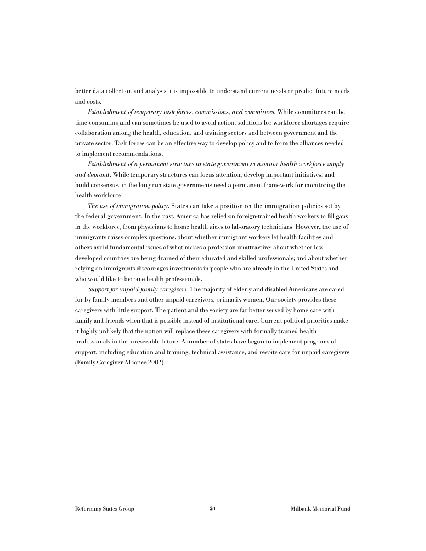better data collection and analysis it is impossible to understand current needs or predict future needs and costs.

*Establishment of temporary task forces, commissions, and committees.* While committees can be time consuming and can sometimes be used to avoid action, solutions for workforce shortages require collaboration among the health, education, and training sectors and between government and the private sector. Task forces can be an effective way to develop policy and to form the alliances needed to implement recommendations.

*Establishment of a permanent structure in state government to monitor health workforce supply and demand.* While temporary structures can focus attention, develop important initiatives, and build consensus, in the long run state governments need a permanent framework for monitoring the health workforce.

*The use of immigration policy.* States can take a position on the immigration policies set by the federal government. In the past, America has relied on foreign-trained health workers to fill gaps in the workforce, from physicians to home health aides to laboratory technicians. However, the use of immigrants raises complex questions, about whether immigrant workers let health facilities and others avoid fundamental issues of what makes a profession unattractive; about whether less developed countries are being drained of their educated and skilled professionals; and about whether relying on immigrants discourages investments in people who are already in the United States and who would like to become health professionals.

*Support for unpaid family caregivers.* The majority of elderly and disabled Americans are cared for by family members and other unpaid caregivers, primarily women. Our society provides these caregivers with little support. The patient and the society are far better served by home care with family and friends when that is possible instead of institutional care. Current political priorities make it highly unlikely that the nation will replace these caregivers with formally trained health professionals in the foreseeable future. A number of states have begun to implement programs of support, including education and training, technical assistance, and respite care for unpaid caregivers (Family Caregiver Alliance 2002).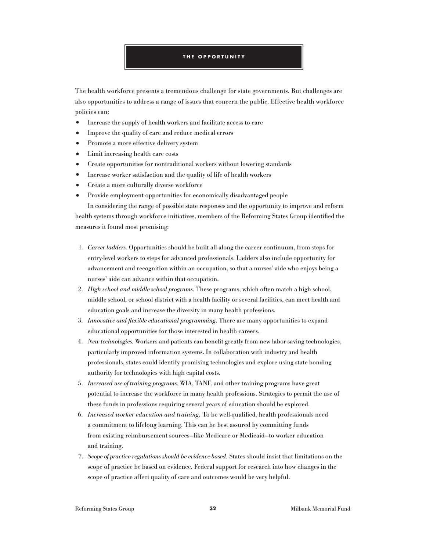#### **THE OPPORTUNITY**

The health workforce presents a tremendous challenge for state governments. But challenges are also opportunities to address a range of issues that concern the public. Effective health workforce policies can:

- **•** Increase the supply of health workers and facilitate access to care
- **•** Improve the quality of care and reduce medical errors
- Promote a more effective delivery system
- **•** Limit increasing health care costs
- **•** Create opportunities for nontraditional workers without lowering standards
- **•** Increase worker satisfaction and the quality of life of health workers
- **•** Create a more culturally diverse workforce
- **•** Provide employment opportunities for economically disadvantaged people

In considering the range of possible state responses and the opportunity to improve and reform health systems through workforce initiatives, members of the Reforming States Group identified the measures it found most promising:

- 1. *Career ladders.* Opportunities should be built all along the career continuum, from steps for entry-level workers to steps for advanced professionals. Ladders also include opportunity for advancement and recognition within an occupation, so that a nurses' aide who enjoys being a nurses' aide can advance within that occupation.
- 2. *High school and middle school programs.* These programs, which often match a high school, middle school, or school district with a health facility or several facilities, can meet health and education goals and increase the diversity in many health professions.
- 3. *Innovative and flexible educational programming.* There are many opportunities to expand educational opportunities for those interested in health careers.
- 4. *New technologies*. Workers and patients can benefit greatly from new labor-saving technologies, particularly improved information systems. In collaboration with industry and health professionals, states could identify promising technologies and explore using state bonding authority for technologies with high capital costs.
- 5. *Increased use of training programs.* WIA, TANF, and other training programs have great potential to increase the workforce in many health professions. Strategies to permit the use of these funds in professions requiring several years of education should be explored.
- 6. *Increased worker education and training.* To be well-qualified, health professionals need a commitment to lifelong learning. This can be best assured by committing funds from existing reimbursement sources—like Medicare or Medicaid—to worker education and training.
- 7. *Scope of practice regulations should be evidence-based.* States should insist that limitations on the scope of practice be based on evidence. Federal support for research into how changes in the scope of practice affect quality of care and outcomes would be very helpful.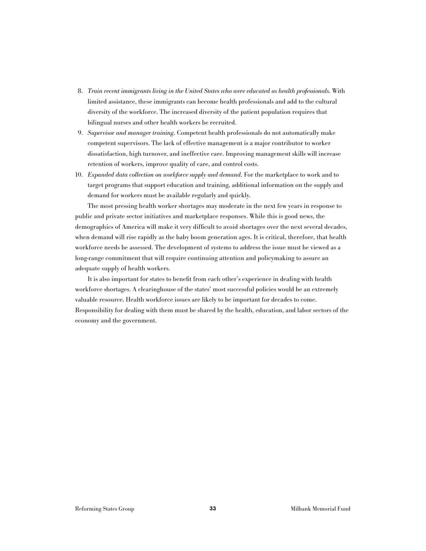- 8. *Train recent immigrants living in the United States who were educated as health professionals.* With limited assistance, these immigrants can become health professionals and add to the cultural diversity of the workforce. The increased diversity of the patient population requires that bilingual nurses and other health workers be recruited.
- 9. *Supervisor and manager training.* Competent health professionals do not automatically make competent supervisors. The lack of effective management is a major contributor to worker dissatisfaction, high turnover, and ineffective care. Improving management skills will increase retention of workers, improve quality of care, and control costs.
- 10. *Expanded data collection on workforce supply and demand.* For the marketplace to work and to target programs that support education and training, additional information on the supply and demand for workers must be available regularly and quickly.

The most pressing health worker shortages may moderate in the next few years in response to public and private sector initiatives and marketplace responses. While this is good news, the demographics of America will make it very difficult to avoid shortages over the next several decades, when demand will rise rapidly as the baby boom generation ages. It is critical, therefore, that health workforce needs be assessed. The development of systems to address the issue must be viewed as a long-range commitment that will require continuing attention and policymaking to assure an adequate supply of health workers.

It is also important for states to benefit from each other's experience in dealing with health workforce shortages. A clearinghouse of the states' most successful policies would be an extremely valuable resource. Health workforce issues are likely to be important for decades to come. Responsibility for dealing with them must be shared by the health, education, and labor sectors of the economy and the government.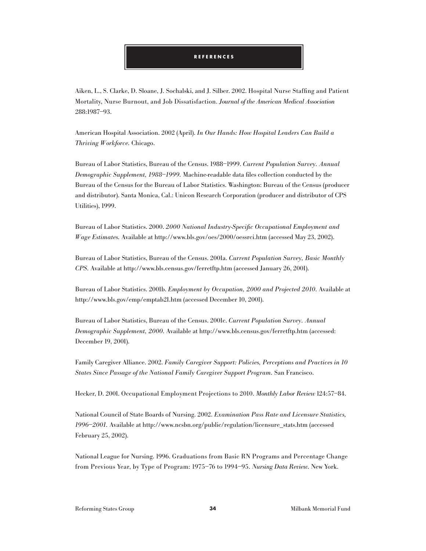#### **REFERENCES**

Aiken, L., S. Clarke, D. Sloane, J. Sochalski, and J. Silber. 2002. Hospital Nurse Staffing and Patient Mortality, Nurse Burnout, and Job Dissatisfaction. *Journal of the American Medical Association* 288:1987–93.

American Hospital Association. 2002 (April). *In Our Hands: How Hospital Leaders Can Build a Thriving Workforce.* Chicago.

Bureau of Labor Statistics, Bureau of the Census. 1988–1999. *Current Population Survey. Annual Demographic Supplement, 1988–1999.* Machine-readable data files collection conducted by the Bureau of the Census for the Bureau of Labor Statistics. Washington: Bureau of the Census (producer and distributor). Santa Monica, Cal.: Unicon Research Corporation (producer and distributor of CPS Utilities), 1999.

Bureau of Labor Statistics. 2000. *2000 National Industry-Specific Occupational Employment and Wage Estimates.* Available at http://www.bls.gov/oes/2000/oessrci.htm (accessed May 23, 2002).

Bureau of Labor Statistics, Bureau of the Census. 2001a. *Current Population Survey, Basic Monthly CPS.* Available at http://www.bls.census.gov/ferretftp.htm (accessed January 26, 2001).

Bureau of Labor Statistics. 2001b. *Employment by Occupation, 2000 and Projected 2010.* Available at http://www.bls.gov/emp/emptab21.htm (accessed December 10, 2001).

Bureau of Labor Statistics, Bureau of the Census. 2001c. *Current Population Survey. Annual Demographic Supplement, 2000.* Available at http://www.bls.census.gov/ferretftp.htm (accessed: December 19, 2001).

Family Caregiver Alliance. 2002. *Family Caregiver Support: Policies, Perceptions and Practices in 10 States Since Passage of the National Family Caregiver Support Program.* San Francisco.

Hecker, D. 2001. Occupational Employment Projections to 2010. *Monthly Labor Review* 124:57–84.

National Council of State Boards of Nursing. 2002. *Examination Pass Rate and Licensure Statistics, 1996–2001.* Available at http://www.ncsbn.org/public/regulation/licensure\_stats.htm (accessed February 25, 2002).

National League for Nursing. 1996. Graduations from Basic RN Programs and Percentage Change from Previous Year, by Type of Program: 1975–76 to 1994–95. *Nursing Data Review.* New York.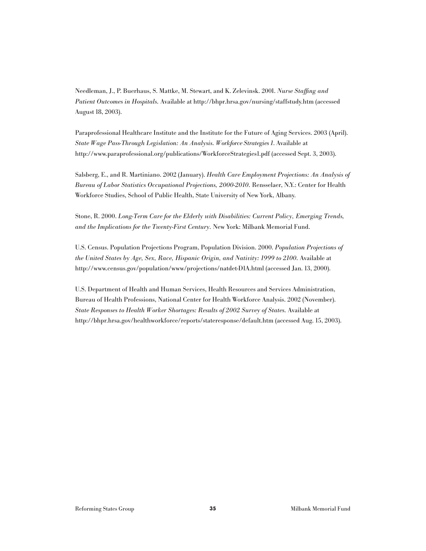Needleman, J., P. Buerhaus, S. Mattke, M. Stewart, and K. Zelevinsk. 2001. *Nurse Staffing and Patient Outcomes in Hospitals.* Available at http://bhpr.hrsa.gov/nursing/staffstudy.htm (accessed August 18, 2003).

Paraprofessional Healthcare Institute and the Institute for the Future of Aging Services. 2003 (April). *State Wage Pass-Through Legislation: An Analysis. Workforce Strategies 1*. Available at http://www.paraprofessional.org/publications/WorkforceStrategies1.pdf (accessed Sept. 3, 2003).

Salsberg, E., and R. Martiniano. 2002 (January). *Health Care Employment Projections: An Analysis of Bureau of Labor Statistics Occupational Projections, 2000-2010.* Rensselaer, N.Y.: Center for Health Workforce Studies, School of Public Health, State University of New York, Albany.

Stone, R. 2000. *Long-Term Care for the Elderly with Disabilities: Current Policy, Emerging Trends, and the Implications for the Twenty-First Century.* New York: Milbank Memorial Fund.

U.S. Census. Population Projections Program, Population Division. 2000. *Population Projections of the United States by Age, Sex, Race, Hispanic Origin, and Nativity: 1999 to 2100.* Available at http://www.census.gov/population/www/projections/natdet-D1A.html (accessed Jan. 13, 2000).

U.S. Department of Health and Human Services, Health Resources and Services Administration, Bureau of Health Professions, National Center for Health Workforce Analysis. 2002 (November). *State Responses to Health Worker Shortages: Results of 2002 Survey of States.* Available at http://bhpr.hrsa.gov/healthworkforce/reports/stateresponse/default.htm (accessed Aug. 15, 2003).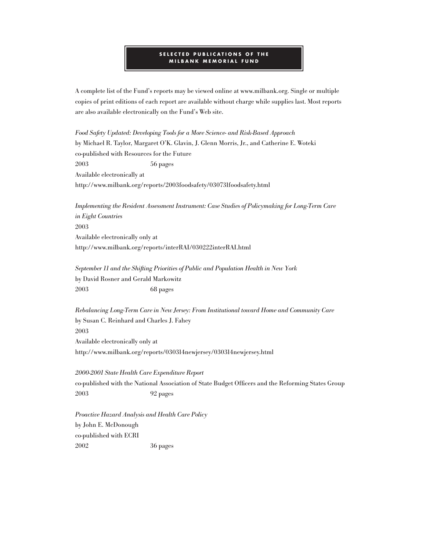#### **SELECTED PUBLICATIONS OF THE MILBANK MEMORIAL FUND**

A complete list of the Fund's reports may be viewed online at www.milbank.org. Single or multiple copies of print editions of each report are available without charge while supplies last. Most reports are also available electronically on the Fund's Web site.

*Food Safety Updated: Developing Tools for a More Science- and Risk-Based Approach* by Michael R. Taylor, Margaret O'K. Glavin, J. Glenn Morris, Jr., and Catherine E. Woteki co-published with Resources for the Future 2003 56 pages Available electronically at http://www.milbank.org/reports/2003foodsafety/030731foodsafety.html

*Implementing the Resident Assessment Instrument: Case Studies of Policymaking for Long-Term Care in Eight Countries* 2003 Available electronically only at http://www.milbank.org/reports/interRAI/030222interRAI.html

*September 11 and the Shifting Priorities of Public and Population Health in New York* by David Rosner and Gerald Markowitz 2003 68 pages

*Rebalancing Long-Term Care in New Jersey: From Institutional toward Home and Community Care* by Susan C. Reinhard and Charles J. Fahey 2003 Available electronically only at http://www.milbank.org/reports/030314newjersey/030314newjersey.html

*2000-2001 State Health Care Expenditure Report* co-published with the National Association of State Budget Officers and the Reforming States Group 2003 92 pages

*Proactive Hazard Analysis and Health Care Policy* by John E. McDonough co-published with ECRI 2002 36 pages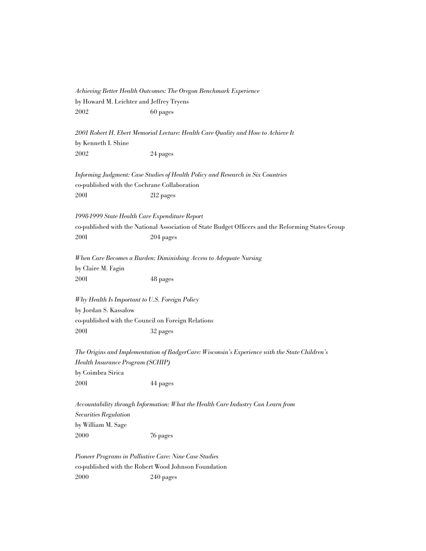*Achieving Better Health Outcomes: The Oregon Benchmark Experience* by Howard M. Leichter and Jeffrey Tryens 2002 60 pages

*2001 Robert H. Ebert Memorial Lecture: Health Care Quality and How to Achieve It* by Kenneth I. Shine 2002 24 pages

*Informing Judgment: Case Studies of Health Policy and Research in Six Countries* co-published with the Cochrane Collaboration 2001 212 pages

*1998-1999 State Health Care Expenditure Report*

co-published with the National Association of State Budget Officers and the Reforming States Group 2001 204 pages

*When Care Becomes a Burden: Diminishing Access to Adequate Nursing* by Claire M. Fagin 2001 48 pages

*Why Health Is Important to U.S. Foreign Policy* by Jordan S. Kassalow co-published with the Council on Foreign Relations 2001 32 pages

*The Origins and Implementation of BadgerCare: Wisconsin's Experience with the State Children's Health Insurance Program (SCHIP)* by Coimbra Sirica 2001 44 pages

*Accountability through Information: What the Health Care Industry Can Learn from Securities Regulation* by William M. Sage 2000 76 pages

*Pioneer Programs in Palliative Care: Nine Case Studies* co-published with the Robert Wood Johnson Foundation 2000 240 pages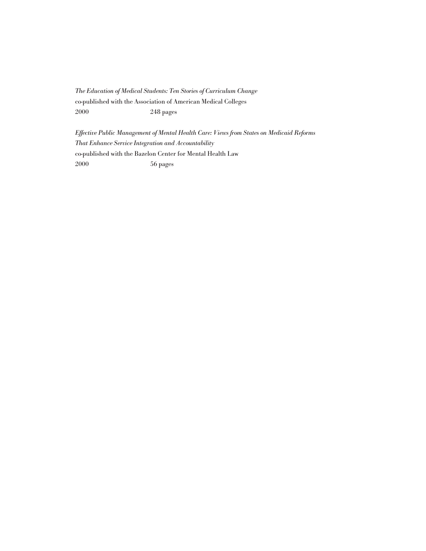*The Education of Medical Students: Ten Stories of Curriculum Change* co-published with the Association of American Medical Colleges 2000 248 pages

*Effective Public Management of Mental Health Care: Views from States on Medicaid Reforms That Enhance Service Integration and Accountability* co-published with the Bazelon Center for Mental Health Law 2000 56 pages